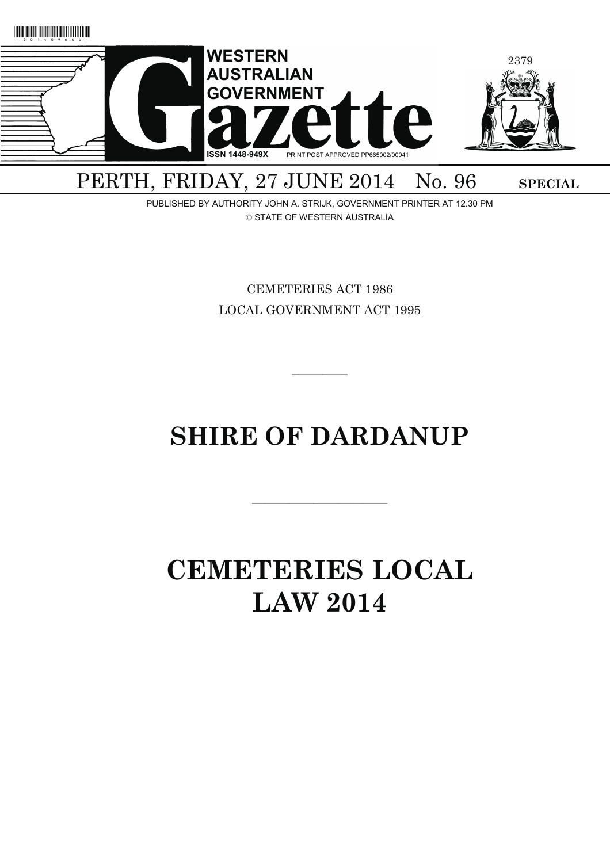

PERTH, FRIDAY, 27 JUNE 2014 No. 96 SPECIAL

PUBLISHED BY AUTHORITY JOHN A. STRIJK, GOVERNMENT PRINTER AT 12.30 PM © STATE OF WESTERN AUSTRALIA

> CEMETERIES ACT 1986 LOCAL GOVERNMENT ACT 1995

> > $\overline{\phantom{a}}$   $\overline{\phantom{a}}$

# **SHIRE OF DARDANUP**

———————————

# **CEMETERIES LOCAL LAW 2014**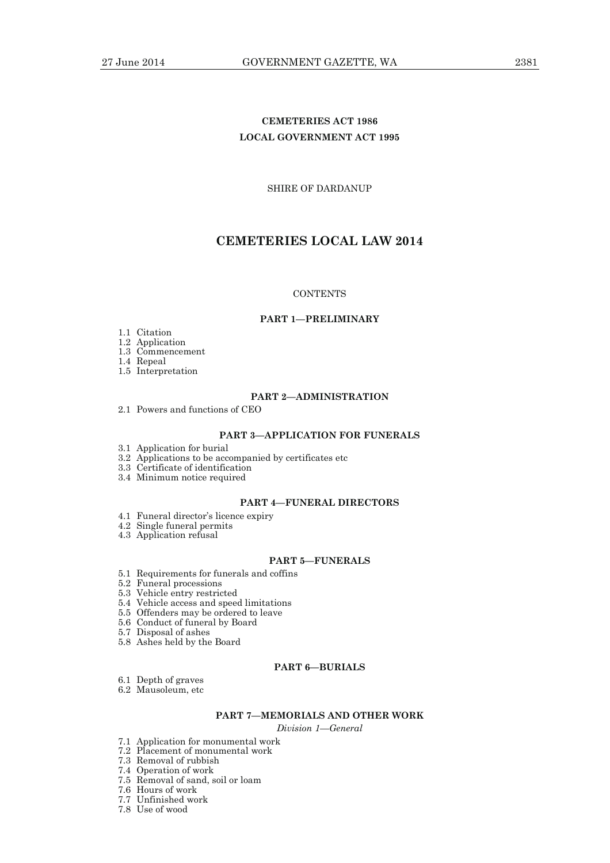# **CEMETERIES ACT 1986 LOCAL GOVERNMENT ACT 1995**

SHIRE OF DARDANUP

# **CEMETERIES LOCAL LAW 2014**

## **CONTENTS**

#### **PART 1—PRELIMINARY**

- 1.1 Citation
- 1.2 Application
- 1.3 Commencement

1.4 Repeal

1.5 Interpretation

## **PART 2—ADMINISTRATION**

2.1 Powers and functions of CEO

## **PART 3—APPLICATION FOR FUNERALS**

- 3.1 Application for burial
- 3.2 Applications to be accompanied by certificates etc
- 3.3 Certificate of identification
- 3.4 Minimum notice required

#### **PART 4—FUNERAL DIRECTORS**

- 4.1 Funeral director's licence expiry
- 4.2 Single funeral permits
- 4.3 Application refusal

## **PART 5—FUNERALS**

- 5.1 Requirements for funerals and coffins
- 5.2 Funeral processions
- 5.3 Vehicle entry restricted
- 5.4 Vehicle access and speed limitations
- 5.5 Offenders may be ordered to leave
- 5.6 Conduct of funeral by Board
- 5.7 Disposal of ashes
- 5.8 Ashes held by the Board

## **PART 6—BURIALS**

- 6.1 Depth of graves
- 6.2 Mausoleum, etc

## **PART 7—MEMORIALS AND OTHER WORK**

*Division 1—General* 

- 7.1 Application for monumental work
- 7.2 Placement of monumental work
	- 7.3 Removal of rubbish
	- 7.4 Operation of work
	- 7.5 Removal of sand, soil or loam
	- 7.6 Hours of work
	- 7.7 Unfinished work
	- 7.8 Use of wood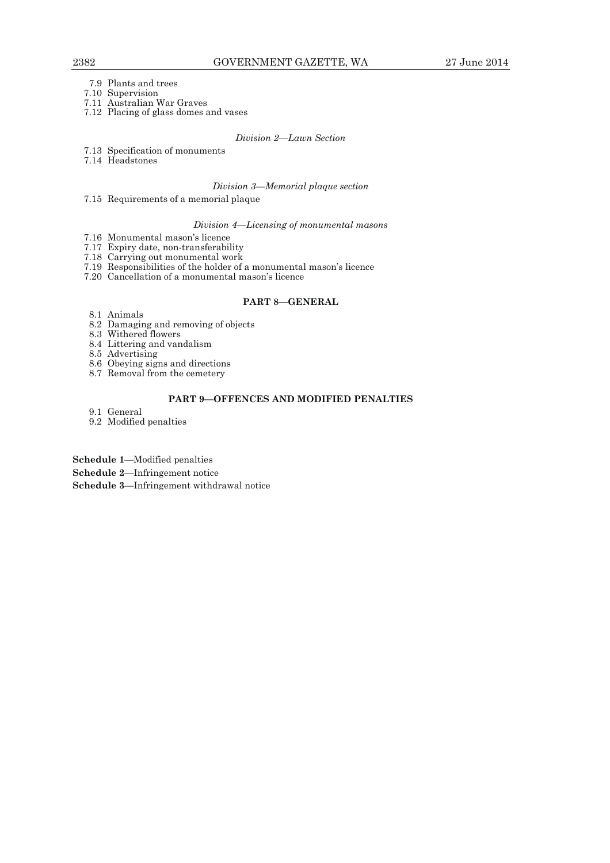- 7.9 Plants and trees
- 7.10 Supervision
- 7.11 Australian War Graves
- 7.12 Placing of glass domes and vases

#### *Division 2—Lawn Section*

- 7.13 Specification of monuments
- 7.14 Headstones

## *Division 3—Memorial plaque section*

7.15 Requirements of a memorial plaque

#### *Division 4—Licensing of monumental masons*

- 7.16 Monumental mason's licence
- 7.17 Expiry date, non-transferability
- 7.18 Carrying out monumental work
- 7.19 Responsibilities of the holder of a monumental mason's licence
- 7.20 Cancellation of a monumental mason's licence

## **PART 8—GENERAL**

- 8.1 Animals
- 8.2 Damaging and removing of objects
- 8.3 Withered flowers
	- 8.4 Littering and vandalism
- 8.5 Advertising
- 8.6 Obeying signs and directions
- 8.7 Removal from the cemetery

## **PART 9—OFFENCES AND MODIFIED PENALTIES**

- 9.1 General
- 9.2 Modified penalties

**Schedule 1**—Modified penalties **Schedule 2**—Infringement notice **Schedule 3**—Infringement withdrawal notice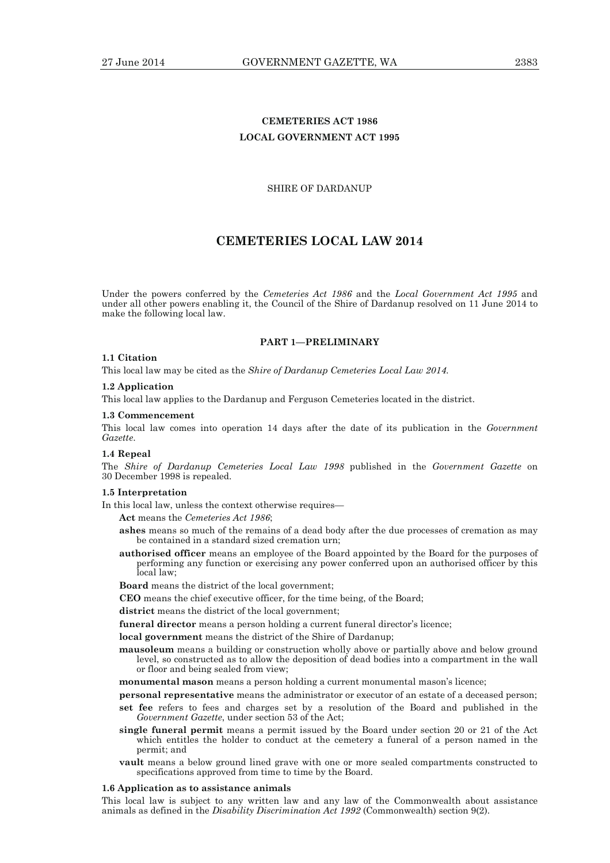# **CEMETERIES ACT 1986 LOCAL GOVERNMENT ACT 1995**

#### SHIRE OF DARDANUP

# **CEMETERIES LOCAL LAW 2014**

Under the powers conferred by the *Cemeteries Act 1986* and the *Local Government Act 1995* and under all other powers enabling it, the Council of the Shire of Dardanup resolved on 11 June 2014 to make the following local law.

#### **PART 1—PRELIMINARY**

#### **1.1 Citation**

This local law may be cited as the *Shire of Dardanup Cemeteries Local Law 2014.* 

#### **1.2 Application**

This local law applies to the Dardanup and Ferguson Cemeteries located in the district.

#### **1.3 Commencement**

This local law comes into operation 14 days after the date of its publication in the *Government Gazette*.

#### **1.4 Repeal**

The *Shire of Dardanup Cemeteries Local Law 1998* published in the *Government Gazette* on 30 December 1998 is repealed.

#### **1.5 Interpretation**

In this local law, unless the context otherwise requires—

**Act** means the *Cemeteries Act 1986*;

- **ashes** means so much of the remains of a dead body after the due processes of cremation as may be contained in a standard sized cremation urn;
- **authorised officer** means an employee of the Board appointed by the Board for the purposes of performing any function or exercising any power conferred upon an authorised officer by this local law;

**Board** means the district of the local government;

- **CEO** means the chief executive officer, for the time being, of the Board;
- **district** means the district of the local government;
- **funeral director** means a person holding a current funeral director's licence;

**local government** means the district of the Shire of Dardanup;

**mausoleum** means a building or construction wholly above or partially above and below ground level, so constructed as to allow the deposition of dead bodies into a compartment in the wall or floor and being sealed from view;

**monumental mason** means a person holding a current monumental mason's licence;

- **personal representative** means the administrator or executor of an estate of a deceased person; **set fee** refers to fees and charges set by a resolution of the Board and published in the *Government Gazette*, under section 53 of the Act;
- **single funeral permit** means a permit issued by the Board under section 20 or 21 of the Act which entitles the holder to conduct at the cemetery a funeral of a person named in the permit; and
- **vault** means a below ground lined grave with one or more sealed compartments constructed to specifications approved from time to time by the Board.

#### **1.6 Application as to assistance animals**

This local law is subject to any written law and any law of the Commonwealth about assistance animals as defined in the *Disability Discrimination Act 1992* (Commonwealth) section 9(2).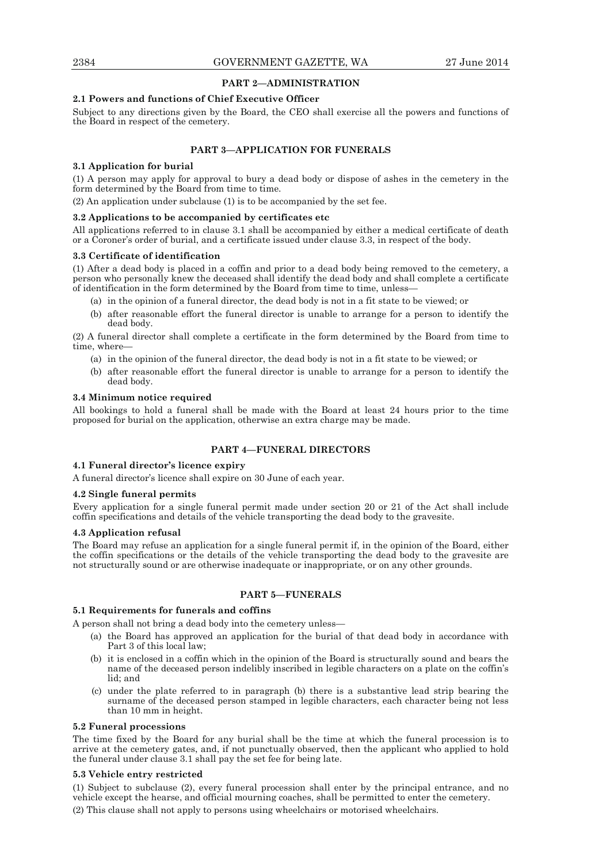## **PART 2—ADMINISTRATION**

## **2.1 Powers and functions of Chief Executive Officer**

Subject to any directions given by the Board, the CEO shall exercise all the powers and functions of the Board in respect of the cemetery.

## **PART 3—APPLICATION FOR FUNERALS**

## **3.1 Application for burial**

(1) A person may apply for approval to bury a dead body or dispose of ashes in the cemetery in the form determined by the Board from time to time.

(2) An application under subclause (1) is to be accompanied by the set fee.

## **3.2 Applications to be accompanied by certificates etc**

All applications referred to in clause 3.1 shall be accompanied by either a medical certificate of death or a Coroner's order of burial, and a certificate issued under clause 3.3, in respect of the body.

#### **3.3 Certificate of identification**

(1) After a dead body is placed in a coffin and prior to a dead body being removed to the cemetery, a person who personally knew the deceased shall identify the dead body and shall complete a certificate of identification in the form determined by the Board from time to time, unless-

(a) in the opinion of a funeral director, the dead body is not in a fit state to be viewed; or

 (b) after reasonable effort the funeral director is unable to arrange for a person to identify the dead body.

(2) A funeral director shall complete a certificate in the form determined by the Board from time to time, where—

- (a) in the opinion of the funeral director, the dead body is not in a fit state to be viewed; or
- (b) after reasonable effort the funeral director is unable to arrange for a person to identify the dead body.

## **3.4 Minimum notice required**

All bookings to hold a funeral shall be made with the Board at least 24 hours prior to the time proposed for burial on the application, otherwise an extra charge may be made.

## **PART 4—FUNERAL DIRECTORS**

## **4.1 Funeral director's licence expiry**

A funeral director's licence shall expire on 30 June of each year.

#### **4.2 Single funeral permits**

Every application for a single funeral permit made under section 20 or 21 of the Act shall include coffin specifications and details of the vehicle transporting the dead body to the gravesite.

#### **4.3 Application refusal**

The Board may refuse an application for a single funeral permit if, in the opinion of the Board, either the coffin specifications or the details of the vehicle transporting the dead body to the gravesite are not structurally sound or are otherwise inadequate or inappropriate, or on any other grounds.

## **PART 5—FUNERALS**

## **5.1 Requirements for funerals and coffins**

A person shall not bring a dead body into the cemetery unless—

- (a) the Board has approved an application for the burial of that dead body in accordance with Part 3 of this local law;
- (b) it is enclosed in a coffin which in the opinion of the Board is structurally sound and bears the name of the deceased person indelibly inscribed in legible characters on a plate on the coffin's lid; and
- (c) under the plate referred to in paragraph (b) there is a substantive lead strip bearing the surname of the deceased person stamped in legible characters, each character being not less than 10 mm in height.

#### **5.2 Funeral processions**

The time fixed by the Board for any burial shall be the time at which the funeral procession is to arrive at the cemetery gates, and, if not punctually observed, then the applicant who applied to hold the funeral under clause 3.1 shall pay the set fee for being late.

## **5.3 Vehicle entry restricted**

(1) Subject to subclause (2), every funeral procession shall enter by the principal entrance, and no vehicle except the hearse, and official mourning coaches, shall be permitted to enter the cemetery. (2) This clause shall not apply to persons using wheelchairs or motorised wheelchairs.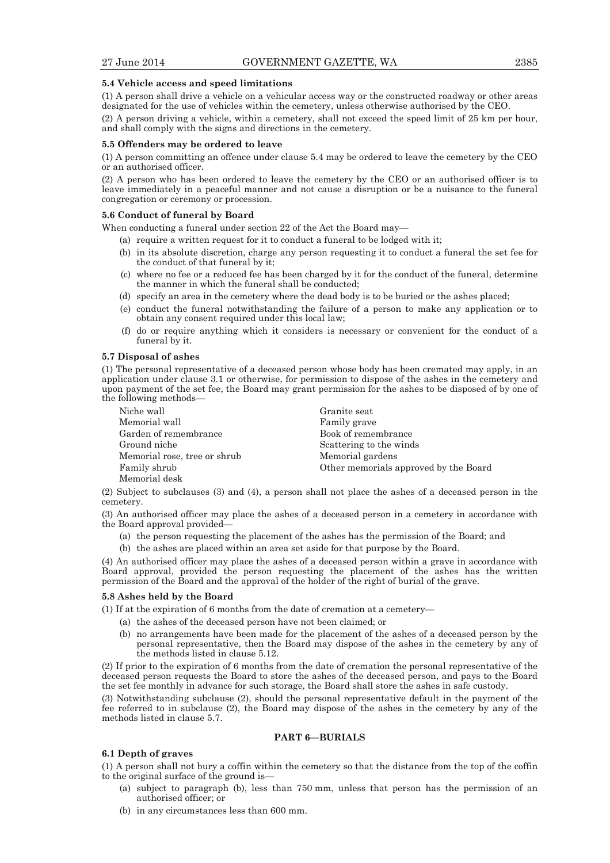#### **5.4 Vehicle access and speed limitations**

(1) A person shall drive a vehicle on a vehicular access way or the constructed roadway or other areas designated for the use of vehicles within the cemetery, unless otherwise authorised by the CEO.

(2) A person driving a vehicle, within a cemetery, shall not exceed the speed limit of 25 km per hour, and shall comply with the signs and directions in the cemetery.

#### **5.5 Offenders may be ordered to leave**

(1) A person committing an offence under clause 5.4 may be ordered to leave the cemetery by the CEO or an authorised officer.

(2) A person who has been ordered to leave the cemetery by the CEO or an authorised officer is to leave immediately in a peaceful manner and not cause a disruption or be a nuisance to the funeral congregation or ceremony or procession.

#### **5.6 Conduct of funeral by Board**

When conducting a funeral under section 22 of the Act the Board may—

(a) require a written request for it to conduct a funeral to be lodged with it;

- (b) in its absolute discretion, charge any person requesting it to conduct a funeral the set fee for the conduct of that funeral by it;
- (c) where no fee or a reduced fee has been charged by it for the conduct of the funeral, determine the manner in which the funeral shall be conducted;
- (d) specify an area in the cemetery where the dead body is to be buried or the ashes placed;
- (e) conduct the funeral notwithstanding the failure of a person to make any application or to obtain any consent required under this local law;
- (f) do or require anything which it considers is necessary or convenient for the conduct of a funeral by it.

## **5.7 Disposal of ashes**

(1) The personal representative of a deceased person whose body has been cremated may apply, in an application under clause 3.1 or otherwise, for permission to dispose of the ashes in the cemetery and upon payment of the set fee, the Board may grant permission for the ashes to be disposed of by one of the following methods—

| Niche wall                   | Granite seat                          |
|------------------------------|---------------------------------------|
| Memorial wall                | Family grave                          |
| Garden of remembrance        | Book of remembrance                   |
| Ground niche                 | Scattering to the winds               |
| Memorial rose, tree or shrub | Memorial gardens                      |
| Family shrub                 | Other memorials approved by the Board |
| Memorial desk                |                                       |

(2) Subject to subclauses (3) and (4), a person shall not place the ashes of a deceased person in the cemetery.

(3) An authorised officer may place the ashes of a deceased person in a cemetery in accordance with the Board approval provided—

(a) the person requesting the placement of the ashes has the permission of the Board; and

(b) the ashes are placed within an area set aside for that purpose by the Board.

(4) An authorised officer may place the ashes of a deceased person within a grave in accordance with Board approval, provided the person requesting the placement of the ashes has the written permission of the Board and the approval of the holder of the right of burial of the grave.

#### **5.8 Ashes held by the Board**

(1) If at the expiration of 6 months from the date of cremation at a cemetery—

- (a) the ashes of the deceased person have not been claimed; or
- (b) no arrangements have been made for the placement of the ashes of a deceased person by the personal representative, then the Board may dispose of the ashes in the cemetery by any of the methods listed in clause 5.12.

(2) If prior to the expiration of 6 months from the date of cremation the personal representative of the deceased person requests the Board to store the ashes of the deceased person, and pays to the Board the set fee monthly in advance for such storage, the Board shall store the ashes in safe custody.

(3) Notwithstanding subclause (2), should the personal representative default in the payment of the fee referred to in subclause (2), the Board may dispose of the ashes in the cemetery by any of the methods listed in clause 5.7.

#### **PART 6—BURIALS**

#### **6.1 Depth of graves**

(1) A person shall not bury a coffin within the cemetery so that the distance from the top of the coffin to the original surface of the ground is—

- (a) subject to paragraph (b), less than 750 mm, unless that person has the permission of an authorised officer; or
- (b) in any circumstances less than 600 mm.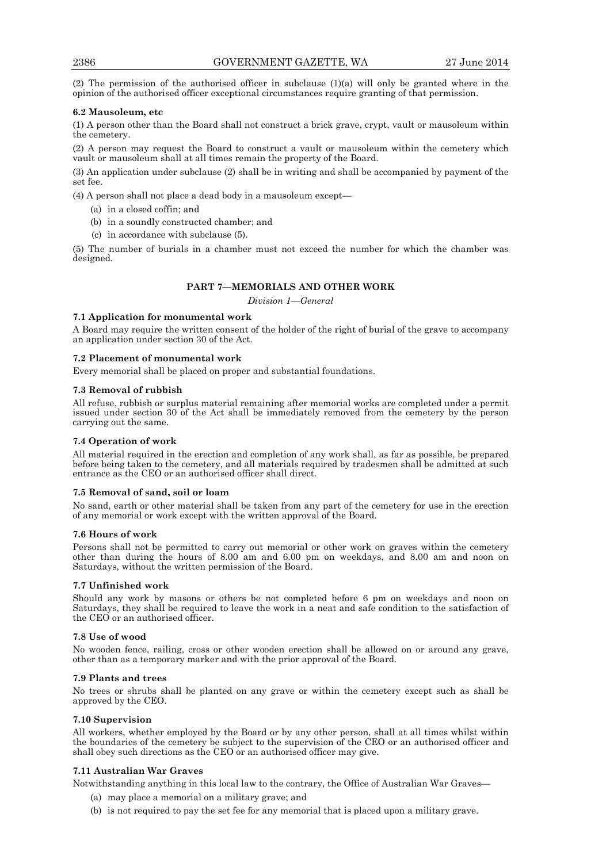(2) The permission of the authorised officer in subclause (1)(a) will only be granted where in the opinion of the authorised officer exceptional circumstances require granting of that permission.

## **6.2 Mausoleum, etc**

(1) A person other than the Board shall not construct a brick grave, crypt, vault or mausoleum within the cemetery.

(2) A person may request the Board to construct a vault or mausoleum within the cemetery which vault or mausoleum shall at all times remain the property of the Board.

(3) An application under subclause (2) shall be in writing and shall be accompanied by payment of the set fee.

(4) A person shall not place a dead body in a mausoleum except—

- (a) in a closed coffin; and
- (b) in a soundly constructed chamber; and
- (c) in accordance with subclause (5).

(5) The number of burials in a chamber must not exceed the number for which the chamber was designed.

## **PART 7—MEMORIALS AND OTHER WORK**

*Division 1—General* 

## **7.1 Application for monumental work**

A Board may require the written consent of the holder of the right of burial of the grave to accompany an application under section 30 of the Act.

## **7.2 Placement of monumental work**

Every memorial shall be placed on proper and substantial foundations.

#### **7.3 Removal of rubbish**

All refuse, rubbish or surplus material remaining after memorial works are completed under a permit issued under section 30 of the Act shall be immediately removed from the cemetery by the person carrying out the same.

## **7.4 Operation of work**

All material required in the erection and completion of any work shall, as far as possible, be prepared before being taken to the cemetery, and all materials required by tradesmen shall be admitted at such entrance as the CEO or an authorised officer shall direct.

## **7.5 Removal of sand, soil or loam**

No sand, earth or other material shall be taken from any part of the cemetery for use in the erection of any memorial or work except with the written approval of the Board.

## **7.6 Hours of work**

Persons shall not be permitted to carry out memorial or other work on graves within the cemetery other than during the hours of 8.00 am and 6.00 pm on weekdays, and 8.00 am and noon on Saturdays, without the written permission of the Board.

## **7.7 Unfinished work**

Should any work by masons or others be not completed before 6 pm on weekdays and noon on Saturdays, they shall be required to leave the work in a neat and safe condition to the satisfaction of the CEO or an authorised officer.

## **7.8 Use of wood**

No wooden fence, railing, cross or other wooden erection shall be allowed on or around any grave, other than as a temporary marker and with the prior approval of the Board.

## **7.9 Plants and trees**

No trees or shrubs shall be planted on any grave or within the cemetery except such as shall be approved by the CEO.

## **7.10 Supervision**

All workers, whether employed by the Board or by any other person, shall at all times whilst within the boundaries of the cemetery be subject to the supervision of the CEO or an authorised officer and shall obey such directions as the CEO or an authorised officer may give.

## **7.11 Australian War Graves**

Notwithstanding anything in this local law to the contrary, the Office of Australian War Graves—

- (a) may place a memorial on a military grave; and
- (b) is not required to pay the set fee for any memorial that is placed upon a military grave.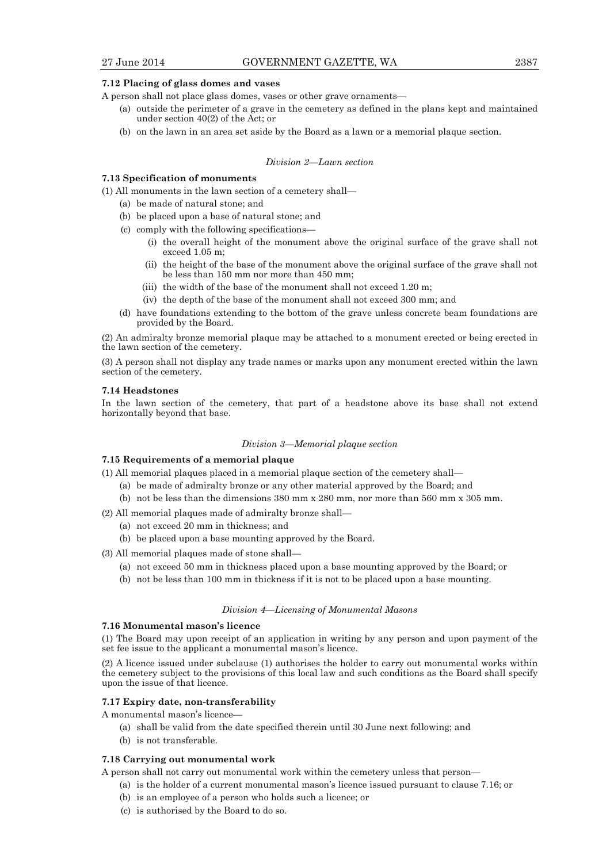#### **7.12 Placing of glass domes and vases**

A person shall not place glass domes, vases or other grave ornaments—

- (a) outside the perimeter of a grave in the cemetery as defined in the plans kept and maintained under section  $40(2)$  of the Act; or
- (b) on the lawn in an area set aside by the Board as a lawn or a memorial plaque section.

#### *Division 2—Lawn section*

## **7.13 Specification of monuments**

(1) All monuments in the lawn section of a cemetery shall—

- (a) be made of natural stone; and
- (b) be placed upon a base of natural stone; and
- (c) comply with the following specifications—
	- (i) the overall height of the monument above the original surface of the grave shall not exceed 1.05 m;
	- (ii) the height of the base of the monument above the original surface of the grave shall not be less than 150 mm nor more than 450 mm;
	- (iii) the width of the base of the monument shall not exceed 1.20 m;
	- (iv) the depth of the base of the monument shall not exceed 300 mm; and
- (d) have foundations extending to the bottom of the grave unless concrete beam foundations are provided by the Board.

(2) An admiralty bronze memorial plaque may be attached to a monument erected or being erected in the lawn section of the cemetery.

(3) A person shall not display any trade names or marks upon any monument erected within the lawn section of the cemetery.

#### **7.14 Headstones**

In the lawn section of the cemetery, that part of a headstone above its base shall not extend horizontally beyond that base.

#### *Division 3—Memorial plaque section*

#### **7.15 Requirements of a memorial plaque**

(1) All memorial plaques placed in a memorial plaque section of the cemetery shall—

- (a) be made of admiralty bronze or any other material approved by the Board; and
- (b) not be less than the dimensions 380 mm x 280 mm, nor more than 560 mm x 305 mm.
- (2) All memorial plaques made of admiralty bronze shall—
	- (a) not exceed 20 mm in thickness; and
	- (b) be placed upon a base mounting approved by the Board.
- (3) All memorial plaques made of stone shall—
	- (a) not exceed 50 mm in thickness placed upon a base mounting approved by the Board; or
	- (b) not be less than 100 mm in thickness if it is not to be placed upon a base mounting.

## *Division 4—Licensing of Monumental Masons*

#### **7.16 Monumental mason's licence**

(1) The Board may upon receipt of an application in writing by any person and upon payment of the set fee issue to the applicant a monumental mason's licence.

(2) A licence issued under subclause (1) authorises the holder to carry out monumental works within the cemetery subject to the provisions of this local law and such conditions as the Board shall specify upon the issue of that licence.

#### **7.17 Expiry date, non-transferability**

A monumental mason's licence—

- (a) shall be valid from the date specified therein until 30 June next following; and
- (b) is not transferable.

#### **7.18 Carrying out monumental work**

A person shall not carry out monumental work within the cemetery unless that person—

- (a) is the holder of a current monumental mason's licence issued pursuant to clause 7.16; or
- (b) is an employee of a person who holds such a licence; or
- (c) is authorised by the Board to do so.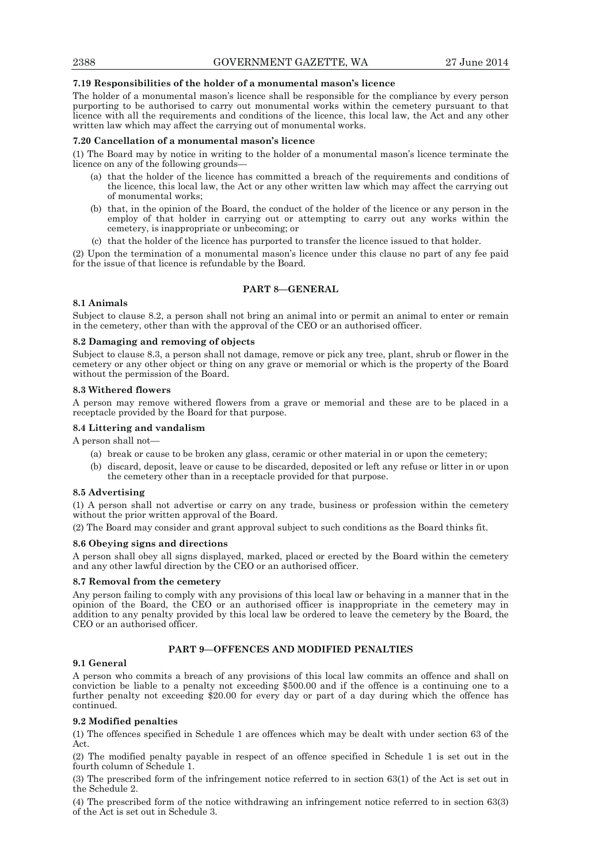## **7.19 Responsibilities of the holder of a monumental mason's licence**

The holder of a monumental mason's licence shall be responsible for the compliance by every person purporting to be authorised to carry out monumental works within the cemetery pursuant to that licence with all the requirements and conditions of the licence, this local law, the Act and any other written law which may affect the carrying out of monumental works.

#### **7.20 Cancellation of a monumental mason's licence**

(1) The Board may by notice in writing to the holder of a monumental mason's licence terminate the licence on any of the following grounds—

- (a) that the holder of the licence has committed a breach of the requirements and conditions of the licence, this local law, the Act or any other written law which may affect the carrying out of monumental works;
- (b) that, in the opinion of the Board, the conduct of the holder of the licence or any person in the employ of that holder in carrying out or attempting to carry out any works within the cemetery, is inappropriate or unbecoming; or
- (c) that the holder of the licence has purported to transfer the licence issued to that holder.

(2) Upon the termination of a monumental mason's licence under this clause no part of any fee paid for the issue of that licence is refundable by the Board.

## **PART 8—GENERAL**

#### **8.1 Animals**

Subject to clause 8.2, a person shall not bring an animal into or permit an animal to enter or remain in the cemetery, other than with the approval of the CEO or an authorised officer.

#### **8.2 Damaging and removing of objects**

Subject to clause 8.3, a person shall not damage, remove or pick any tree, plant, shrub or flower in the cemetery or any other object or thing on any grave or memorial or which is the property of the Board without the permission of the Board.

#### **8.3 Withered flowers**

A person may remove withered flowers from a grave or memorial and these are to be placed in a receptacle provided by the Board for that purpose.

#### **8.4 Littering and vandalism**

A person shall not—

- (a) break or cause to be broken any glass, ceramic or other material in or upon the cemetery;
- (b) discard, deposit, leave or cause to be discarded, deposited or left any refuse or litter in or upon the cemetery other than in a receptacle provided for that purpose.

#### **8.5 Advertising**

(1) A person shall not advertise or carry on any trade, business or profession within the cemetery without the prior written approval of the Board.

(2) The Board may consider and grant approval subject to such conditions as the Board thinks fit.

## **8.6 Obeying signs and directions**

A person shall obey all signs displayed, marked, placed or erected by the Board within the cemetery and any other lawful direction by the CEO or an authorised officer.

### **8.7 Removal from the cemetery**

Any person failing to comply with any provisions of this local law or behaving in a manner that in the opinion of the Board, the CEO or an authorised officer is inappropriate in the cemetery may in addition to any penalty provided by this local law be ordered to leave the cemetery by the Board, the CEO or an authorised officer.

## **PART 9—OFFENCES AND MODIFIED PENALTIES**

#### **9.1 General**

A person who commits a breach of any provisions of this local law commits an offence and shall on conviction be liable to a penalty not exceeding \$500.00 and if the offence is a continuing one to a further penalty not exceeding \$20.00 for every day or part of a day during which the offence has continued.

## **9.2 Modified penalties**

(1) The offences specified in Schedule 1 are offences which may be dealt with under section 63 of the Act.

(2) The modified penalty payable in respect of an offence specified in Schedule 1 is set out in the fourth column of Schedule 1.

(3) The prescribed form of the infringement notice referred to in section 63(1) of the Act is set out in the Schedule 2.

(4) The prescribed form of the notice withdrawing an infringement notice referred to in section 63(3) of the Act is set out in Schedule 3.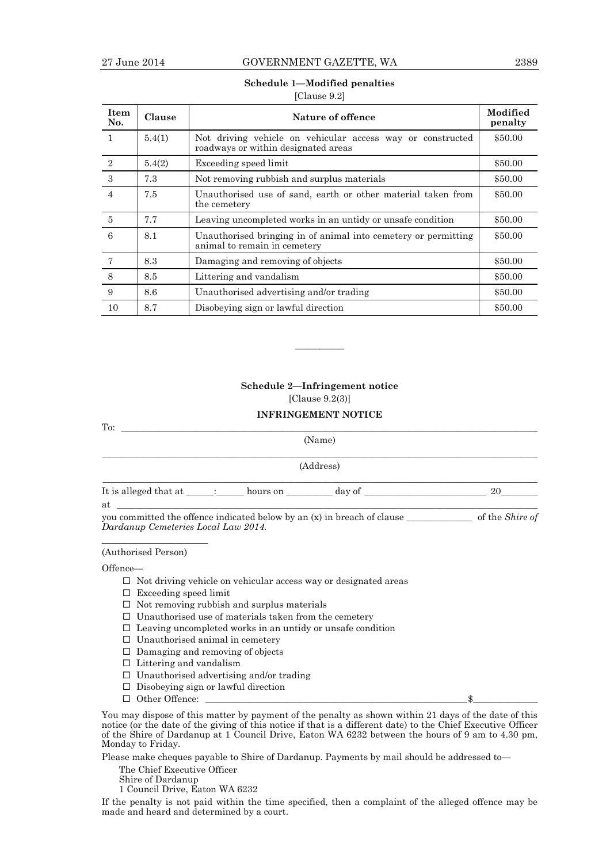## **Schedule 1—Modified penalties**

[Clause 9.2]

| <b>Item</b><br>No. | Clause | Nature of offence                                                                                 | Modified<br>penalty |  |
|--------------------|--------|---------------------------------------------------------------------------------------------------|---------------------|--|
| 1                  | 5.4(1) | Not driving vehicle on vehicular access way or constructed<br>roadways or within designated areas | \$50.00             |  |
| $\mathbf{2}$       | 5.4(2) | Exceeding speed limit                                                                             | \$50.00             |  |
| 3                  | 7.3    | Not removing rubbish and surplus materials                                                        | \$50.00             |  |
| $\overline{4}$     | 7.5    | Unauthorised use of sand, earth or other material taken from<br>the cemetery                      | \$50.00             |  |
| 5                  | 7.7    | Leaving uncompleted works in an untidy or unsafe condition                                        | \$50.00             |  |
| 6                  | 8.1    | Unauthorised bringing in of animal into cemetery or permitting<br>animal to remain in cemetery    | \$50.00             |  |
| $\overline{7}$     | 8.3    | Damaging and removing of objects                                                                  | \$50.00             |  |
| 8                  | 8.5    | Littering and vandalism                                                                           | \$50.00             |  |
| 9                  | 8.6    | Unauthorised advertising and/or trading                                                           | \$50.00             |  |
| 10                 | 8.7    | Disobeying sign or lawful direction                                                               | \$50.00             |  |

## **Schedule 2—Infringement notice**

————

[Clause 9.2(3)]

## **INFRINGEMENT NOTICE**

| To:                                 |  |  |                                                                                  |  |  |  |
|-------------------------------------|--|--|----------------------------------------------------------------------------------|--|--|--|
|                                     |  |  | (Name)                                                                           |  |  |  |
|                                     |  |  | (Address)                                                                        |  |  |  |
| at $\qquad \qquad$                  |  |  | It is alleged that at $\qquad \qquad$ : hours on $\qquad \qquad$ day of $\qquad$ |  |  |  |
| Dardanup Cemeteries Local Law 2014. |  |  |                                                                                  |  |  |  |

(Authorised Person)

#### Offence—

- $\Box$  Not driving vehicle on vehicular access way or designated areas
- $\square$  Exceeding speed limit
- $\Box$  Not removing rubbish and surplus materials
- $\square$  Unauthorised use of materials taken from the cemetery
- $\square$  Leaving uncompleted works in an untidy or unsafe condition
- $\square$  Unauthorised animal in cemetery
- $\Box$  Damaging and removing of objects
- $\square$  Littering and vandalism
- $\square$  Unauthorised advertising and/or trading
- $\Box$  Disobeying sign or lawful direction
- $\Box$  Other Offence:  $\Box$

You may dispose of this matter by payment of the penalty as shown within 21 days of the date of this notice (or the date of the giving of this notice if that is a different date) to the Chief Executive Officer of the Shire of Dardanup at 1 Council Drive, Eaton WA 6232 between the hours of 9 am to 4.30 pm, Monday to Friday.

Please make cheques payable to Shire of Dardanup. Payments by mail should be addressed to—

- The Chief Executive Officer
- Shire of Dardanup
- 1 Council Drive, Eaton WA 6232

If the penalty is not paid within the time specified, then a complaint of the alleged offence may be made and heard and determined by a court.